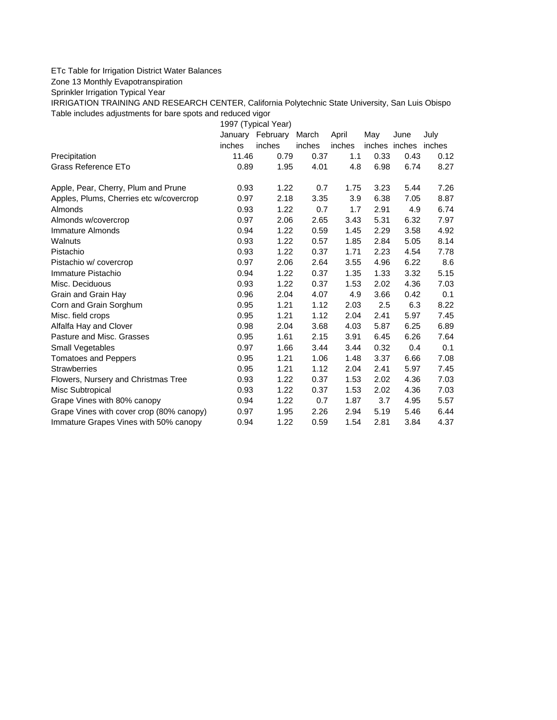## ETc Table for Irrigation District Water Balances

Zone 13 Monthly Evapotranspiration

Sprinkler Irrigation Typical Year

IRRIGATION TRAINING AND RESEARCH CENTER, California Polytechnic State University, San Luis Obispo Table includes adjustments for bare spots and reduced vigor

1997 (Typical Year) January February March April May June July inches inches inches inches inches inches inches Precipitation 11.46 0.79 0.37 1.1 0.33 0.43 0.12 Grass Reference ETo  $0.89$   $1.95$   $4.01$   $4.8$   $6.98$   $6.74$   $8.27$ Apple, Pear, Cherry, Plum and Prune **0.93** 1.22 0.7 1.75 3.23 5.44 7.26 Apples, Plums, Cherries etc w/covercrop 0.97 2.18 3.35 3.9 6.38 7.05 8.87 Almonds 0.93 1.22 0.7 1.7 2.91 4.9 6.74 Almonds w/covercrop 0.97 2.06 2.65 3.43 5.31 6.32 7.97 Immature Almonds 0.94 1.22 0.59 1.45 2.29 3.58 4.92 Walnuts 0.93 1.22 0.57 1.85 2.84 5.05 8.14 Pistachio 0.93 1.22 0.37 1.71 2.23 4.54 7.78 Pistachio w/ covercrop 0.97 2.06 2.64 3.55 4.96 6.22 8.6 Immature Pistachio 0.94 1.22 0.37 1.35 1.33 3.32 5.15 Misc. Deciduous 0.93 1.22 0.37 1.53 2.02 4.36 7.03 Grain and Grain Hay 0.96 2.04 4.07 4.9 3.66 0.42 0.1 Corn and Grain Sorghum 0.95 1.21 1.12 2.03 2.5 6.3 8.22 Misc. field crops 0.95 1.21 1.12 2.04 2.41 5.97 7.45 Alfalfa Hay and Clover 0.98 2.04 3.68 4.03 5.87 6.25 6.89 Pasture and Misc. Grasses 2.095 1.61 2.15 3.91 6.45 6.26 7.64 Small Vegetables **6.8 a.m. 6.97 1.66 3.44 3.44 0.32 0.4 0.1** Tomatoes and Peppers 0.95 1.21 1.06 1.48 3.37 6.66 7.08 Strawberries 0.95 1.21 1.12 2.04 2.41 5.97 7.45 Flowers, Nursery and Christmas Tree 0.93 1.22 0.37 1.53 2.02 4.36 7.03 Misc Subtropical 0.93 1.22 0.37 1.53 2.02 4.36 7.03 Grape Vines with 80% canopy  $0.94$  1.22 0.7 1.87 3.7 4.95 5.57 Grape Vines with cover crop (80% canopy) 0.97 1.95 2.26 2.94 5.19 5.46 6.44 Immature Grapes Vines with 50% canopy 0.94 1.22 0.59 1.54 2.81 3.84 4.37